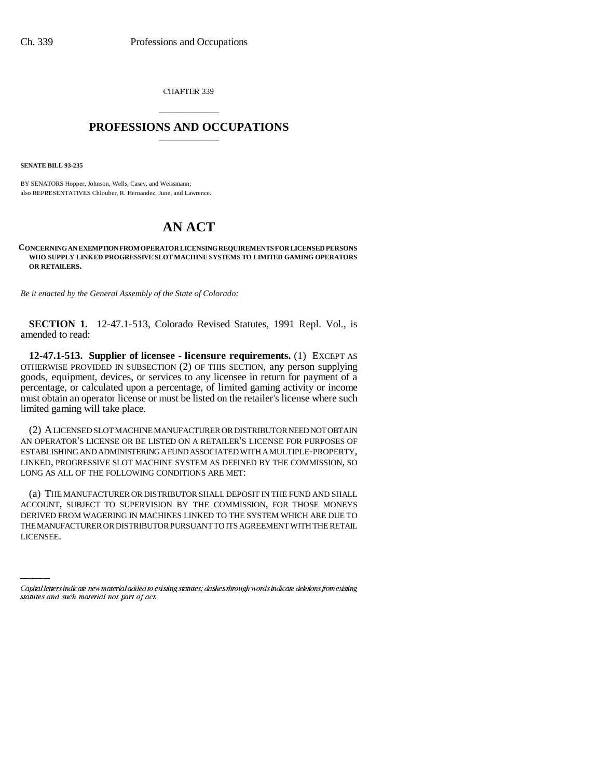CHAPTER 339

## \_\_\_\_\_\_\_\_\_\_\_\_\_\_\_ **PROFESSIONS AND OCCUPATIONS** \_\_\_\_\_\_\_\_\_\_\_\_\_\_\_

**SENATE BILL 93-235**

BY SENATORS Hopper, Johnson, Wells, Casey, and Weissmann; also REPRESENTATIVES Chlouber, R. Hernandez, June, and Lawrence.

## **AN ACT**

## **CONCERNING AN EXEMPTION FROM OPERATOR LICENSING REQUIREMENTS FOR LICENSED PERSONS WHO SUPPLY LINKED PROGRESSIVE SLOT MACHINE SYSTEMS TO LIMITED GAMING OPERATORS OR RETAILERS.**

*Be it enacted by the General Assembly of the State of Colorado:*

**SECTION 1.** 12-47.1-513, Colorado Revised Statutes, 1991 Repl. Vol., is amended to read:

**12-47.1-513. Supplier of licensee - licensure requirements.** (1) EXCEPT AS OTHERWISE PROVIDED IN SUBSECTION (2) OF THIS SECTION, any person supplying goods, equipment, devices, or services to any licensee in return for payment of a percentage, or calculated upon a percentage, of limited gaming activity or income must obtain an operator license or must be listed on the retailer's license where such limited gaming will take place.

(2) A LICENSED SLOT MACHINE MANUFACTURER OR DISTRIBUTOR NEED NOT OBTAIN AN OPERATOR'S LICENSE OR BE LISTED ON A RETAILER'S LICENSE FOR PURPOSES OF ESTABLISHING AND ADMINISTERING A FUND ASSOCIATED WITH A MULTIPLE-PROPERTY, LINKED, PROGRESSIVE SLOT MACHINE SYSTEM AS DEFINED BY THE COMMISSION, SO LONG AS ALL OF THE FOLLOWING CONDITIONS ARE MET:

ACCOUNT, SUBJECT TO SUPERVISION BY THE COMMISSION, FOR THOSE MONEYS (a) THE MANUFACTURER OR DISTRIBUTOR SHALL DEPOSIT IN THE FUND AND SHALL DERIVED FROM WAGERING IN MACHINES LINKED TO THE SYSTEM WHICH ARE DUE TO THE MANUFACTURER OR DISTRIBUTOR PURSUANT TO ITS AGREEMENT WITH THE RETAIL LICENSEE.

Capital letters indicate new material added to existing statutes; dashes through words indicate deletions from existing statutes and such material not part of act.